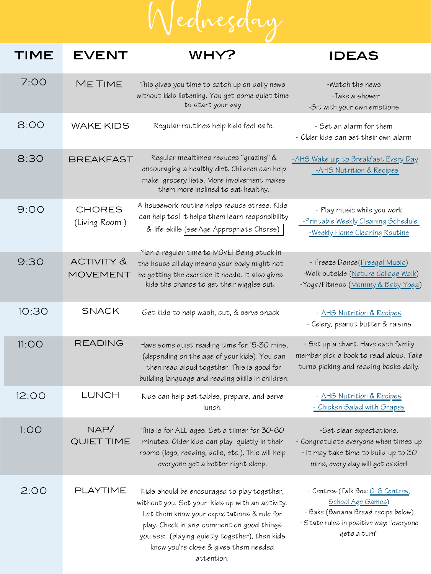reço

## WHY? IDEAS TIME EVENT

## -Watch the news -Take a shower -Sit with your own emotions [-AHS Wake uip to Breakfast Every Day](https://www.albertahealthservices.ca/assets/info/nutrition/if-nfs-wake-up-to-breakfast.pdf) [-AHS Nutrition & Recipes](https://www.albertahealthservices.ca/nutrition/Page10996.aspx) - Play music while you work [-Printable Weekly Cleaning Schedule](https://www.thecleanerhome.com/blog/free-printable-weekly-cleaning-checklist-perfect-to-use-at-home/) [-Weekly Home Cleaning Routine](https://www.vivaveltoro.com/a-quick-efficient-home-cleaning-routine-printable-cleaning-schedule-giveaway) - Freeze Dance[\(Freegal Music\)](https://marigold.freegalmusic.com/home) -Walk outside ([Nature Collage Walk](https://artsymomma.com/nature-inspired-spring-tree-art-nature-collage.html)) -Yoga/Fitness ([Mommy & Baby Yoga](https://www.youtube.com/watch?v=njRZnqZwnbc)) - Set an alarm for them - Older kids can set their own alarm 7:00 8:00 Me Time wake kids 8:30 BREAKFAST 9:00 chores (Living Room ) 9:30 activity & movement This gives you time to catch up on daily news without kids listening. You get some quiet time to start your day Regular routines help kids feel safe. Regular mealtimes reduces "grazing" & encouraging a healthy diet. Children can help make grocery lists. More involvement makes them more inclined to eat healthy. A housework routine helps reduce stress. Kids can help too! It helps them learn responsibility & life skills [\(see Age Appropriate Chores\)](https://www.chestermere.ca/DocumentCenter/View/15754/Age-Appropriate-Chores) Plan a regular time to MOVE! Being stuck in the house all day means your body might not be getting the exercise it needs. It also gives kids the chance to get their wiggles out.

| 10:30 | <b>SNACK</b>       | Get kids to help wash, cut, & serve snack                                                                                                                                                                                                                                                          | - AHS Nutrition & Recipes<br>- Celery, peanut butter & raisins                                                                                                   |
|-------|--------------------|----------------------------------------------------------------------------------------------------------------------------------------------------------------------------------------------------------------------------------------------------------------------------------------------------|------------------------------------------------------------------------------------------------------------------------------------------------------------------|
| 11:OO | <b>READING</b>     | Have some quiet reading time for 15-30 mins,<br>(depending on the age of your kids). You can<br>then read aloud together. This is good for<br>building language and reading skills in children.                                                                                                    | - Set up a chart. Have each family<br>member pick a book to read aloud. Take<br>turns picking and reading books daily.                                           |
| 12:00 | LUNCH              | Kids can help set tables, prepare, and serve<br>lunch.                                                                                                                                                                                                                                             | - AHS Nutrition & Recipes<br>- Chicken Salad with Grapes                                                                                                         |
| 1:OO  | NAP/<br>QUIET TIME | This is for ALL ages. Set a tiimer for 30-60<br>minutes. Older kids can play quietly in their<br>rooms (lego, reading, dolls, etc.). This will help<br>everyone get a better night sleep.                                                                                                          | -Set clear expectations.<br>- Congratulate everyone when times up<br>- It may take time to build up to 30<br>mins, every day will get easier!                    |
| 2:00  | <b>PLAYTIME</b>    | Kids should be encouraged to play together,<br>without you. Set your kids up with an activity.<br>Let them know your expectations & rule for<br>play. Check in and comment on good things<br>you see: (playing quietly together), then kids<br>know you're close & gives them needed<br>attention. | - Centres (Talk Box: <u>O-6 Centres</u> ,<br>School Age Games)<br>- Bake (Banana Bread recipe below)<br>- State rules in positive way: "everyone<br>gets a turn" |